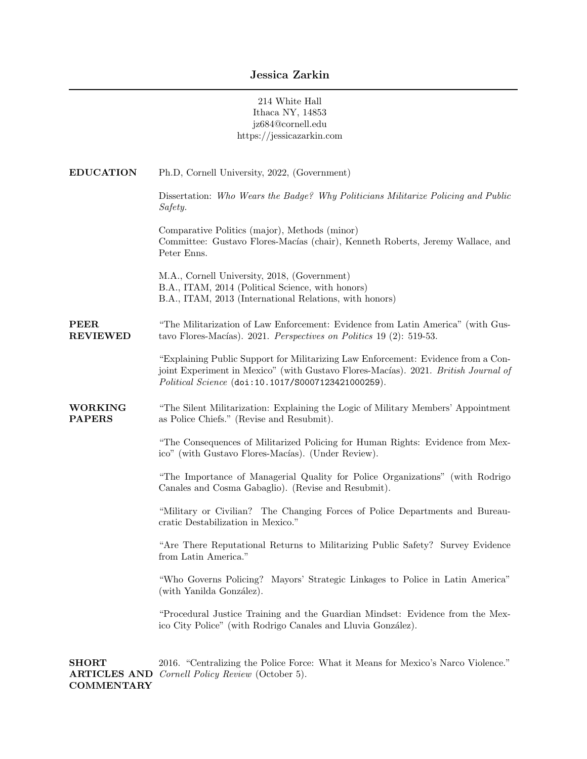|                                 | 214 White Hall<br>Ithaca NY, 14853<br>jz684@cornell.edu<br>https://jessicazarkin.com                                                                                                                                          |
|---------------------------------|-------------------------------------------------------------------------------------------------------------------------------------------------------------------------------------------------------------------------------|
| <b>EDUCATION</b>                | Ph.D, Cornell University, 2022, (Government)                                                                                                                                                                                  |
|                                 | Dissertation: Who Wears the Badge? Why Politicians Militarize Policing and Public<br>Safety.                                                                                                                                  |
|                                 | Comparative Politics (major), Methods (minor)<br>Committee: Gustavo Flores-Macías (chair), Kenneth Roberts, Jeremy Wallace, and<br>Peter Enns.                                                                                |
|                                 | M.A., Cornell University, 2018, (Government)<br>B.A., ITAM, 2014 (Political Science, with honors)<br>B.A., ITAM, 2013 (International Relations, with honors)                                                                  |
| <b>PEER</b><br><b>REVIEWED</b>  | "The Militarization of Law Enforcement: Evidence from Latin America" (with Gus-<br>tavo Flores-Macías). 2021. Perspectives on Politics 19 (2): 519-53.                                                                        |
|                                 | "Explaining Public Support for Militarizing Law Enforcement: Evidence from a Con-<br>joint Experiment in Mexico" (with Gustavo Flores-Macías). 2021. British Journal of<br>Political Science (doi:10.1017/S0007123421000259). |
| <b>WORKING</b><br><b>PAPERS</b> | "The Silent Militarization: Explaining the Logic of Military Members' Appointment<br>as Police Chiefs." (Revise and Resubmit).                                                                                                |
|                                 | "The Consequences of Militarized Policing for Human Rights: Evidence from Mex-<br>ico" (with Gustavo Flores-Macías). (Under Review).                                                                                          |
|                                 | "The Importance of Managerial Quality for Police Organizations" (with Rodrigo<br>Canales and Cosma Gabaglio). (Revise and Resubmit).                                                                                          |
|                                 | "Military or Civilian? The Changing Forces of Police Departments and Bureau-<br>cratic Destabilization in Mexico."                                                                                                            |
|                                 | "Are There Reputational Returns to Militarizing Public Safety? Survey Evidence<br>from Latin America."                                                                                                                        |
|                                 | "Who Governs Policing? Mayors' Strategic Linkages to Police in Latin America"<br>(with Yanilda González).                                                                                                                     |
|                                 | "Procedural Justice Training and the Guardian Mindset: Evidence from the Mex-<br>ico City Police" (with Rodrigo Canales and Lluvia González).                                                                                 |

SHORT ARTICLES AND Cornell Policy Review (October 5). **COMMENTARY** 2016. "Centralizing the Police Force: What it Means for Mexico's Narco Violence."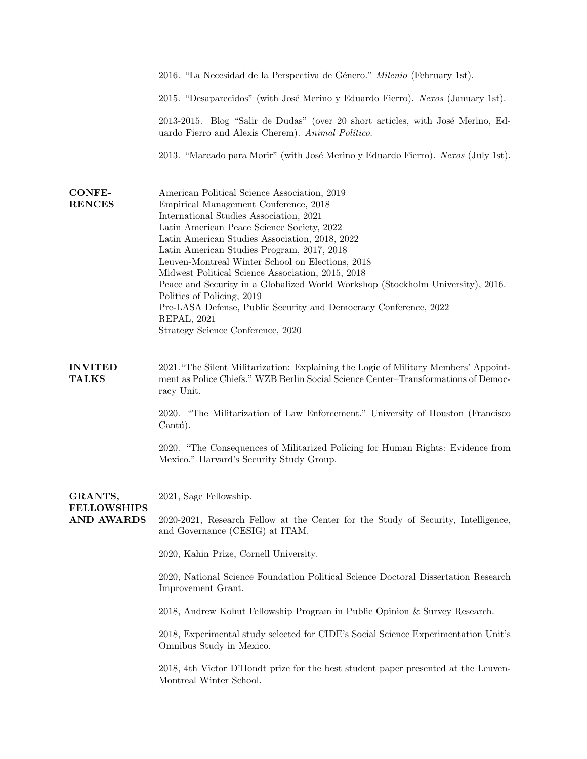|                                                    | 2016. "La Necesidad de la Perspectiva de Género." Milenio (February 1st).                                                                                                                                                                                                                                                                                                                                                                                                                                                                                                                                                        |
|----------------------------------------------------|----------------------------------------------------------------------------------------------------------------------------------------------------------------------------------------------------------------------------------------------------------------------------------------------------------------------------------------------------------------------------------------------------------------------------------------------------------------------------------------------------------------------------------------------------------------------------------------------------------------------------------|
|                                                    | 2015. "Desaparecidos" (with José Merino y Eduardo Fierro). Nexos (January 1st).                                                                                                                                                                                                                                                                                                                                                                                                                                                                                                                                                  |
|                                                    | 2013-2015. Blog "Salir de Dudas" (over 20 short articles, with José Merino, Ed-<br>uardo Fierro and Alexis Cherem). Animal Político.                                                                                                                                                                                                                                                                                                                                                                                                                                                                                             |
|                                                    | 2013. "Marcado para Morir" (with José Merino y Eduardo Fierro). Nexos (July 1st).                                                                                                                                                                                                                                                                                                                                                                                                                                                                                                                                                |
| <b>CONFE-</b><br><b>RENCES</b>                     | American Political Science Association, 2019<br>Empirical Management Conference, 2018<br>International Studies Association, 2021<br>Latin American Peace Science Society, 2022<br>Latin American Studies Association, 2018, 2022<br>Latin American Studies Program, 2017, 2018<br>Leuven-Montreal Winter School on Elections, 2018<br>Midwest Political Science Association, 2015, 2018<br>Peace and Security in a Globalized World Workshop (Stockholm University), 2016.<br>Politics of Policing, 2019<br>Pre-LASA Defense, Public Security and Democracy Conference, 2022<br>REPAL, 2021<br>Strategy Science Conference, 2020 |
| <b>INVITED</b><br><b>TALKS</b>                     | 2021. "The Silent Militarization: Explaining the Logic of Military Members' Appoint-<br>ment as Police Chiefs." WZB Berlin Social Science Center-Transformations of Democ-<br>racy Unit.                                                                                                                                                                                                                                                                                                                                                                                                                                         |
|                                                    | 2020. "The Militarization of Law Enforcement." University of Houston (Francisco<br>Cantú).                                                                                                                                                                                                                                                                                                                                                                                                                                                                                                                                       |
|                                                    | 2020. "The Consequences of Militarized Policing for Human Rights: Evidence from<br>Mexico." Harvard's Security Study Group.                                                                                                                                                                                                                                                                                                                                                                                                                                                                                                      |
| GRANTS,<br><b>FELLOWSHIPS</b><br><b>AND AWARDS</b> | 2021, Sage Fellowship.                                                                                                                                                                                                                                                                                                                                                                                                                                                                                                                                                                                                           |
|                                                    | 2020-2021, Research Fellow at the Center for the Study of Security, Intelligence,<br>and Governance (CESIG) at ITAM.                                                                                                                                                                                                                                                                                                                                                                                                                                                                                                             |
|                                                    | 2020, Kahin Prize, Cornell University.                                                                                                                                                                                                                                                                                                                                                                                                                                                                                                                                                                                           |
|                                                    | 2020, National Science Foundation Political Science Doctoral Dissertation Research<br>Improvement Grant.                                                                                                                                                                                                                                                                                                                                                                                                                                                                                                                         |
|                                                    | 2018, Andrew Kohut Fellowship Program in Public Opinion & Survey Research.                                                                                                                                                                                                                                                                                                                                                                                                                                                                                                                                                       |
|                                                    | 2018, Experimental study selected for CIDE's Social Science Experimentation Unit's<br>Omnibus Study in Mexico.                                                                                                                                                                                                                                                                                                                                                                                                                                                                                                                   |
|                                                    | 2018, 4th Victor D'Hondt prize for the best student paper presented at the Leuven-<br>Montreal Winter School.                                                                                                                                                                                                                                                                                                                                                                                                                                                                                                                    |